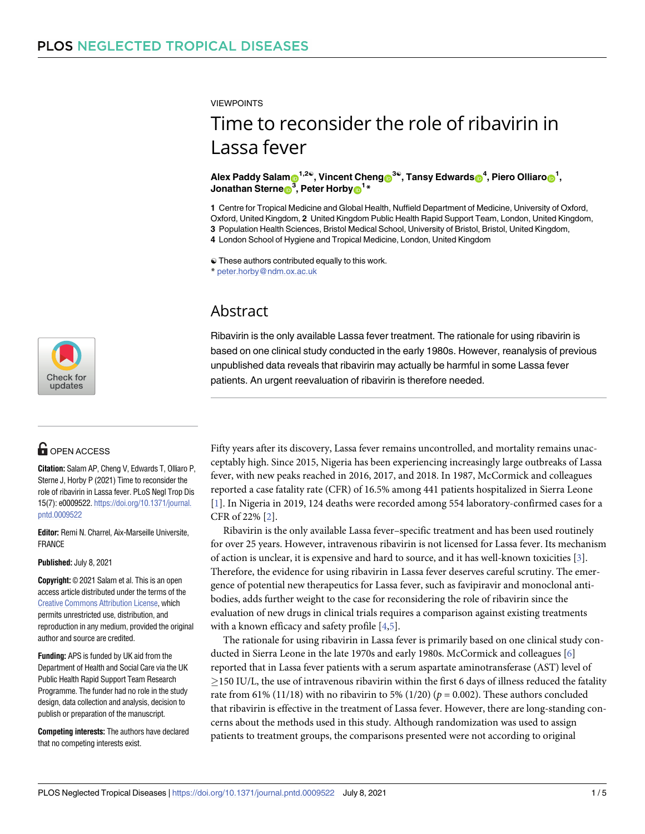<span id="page-0-0"></span>VIEWPOINTS

# Time to reconsider the role of ribavirin in Lassa fever

 $\blacksquare$ **Alex** <code>Paddy</code> Salam $\blacksquare^{1,2\mathbb{Q}},$  <code>Vincent Cheng $\blacksquare^{3\mathbb{Q}},$  Tansy Edwards $\blacksquare^{4},$  Piero Olliaro $\blacksquare^{1},$ </code>  $\frac{1}{2}$ **Jonathan** Sterne $\frac{1}{2}$ <sup>3</sup>, Peter Horby $\frac{1}{2}$ 

**1** Centre for Tropical Medicine and Global Health, Nuffield Department of Medicine, University of Oxford, Oxford, United Kingdom, **2** United Kingdom Public Health Rapid Support Team, London, United Kingdom,

**3** Population Health Sciences, Bristol Medical School, University of Bristol, Bristol, United Kingdom,

**4** London School of Hygiene and Tropical Medicine, London, United Kingdom

☯ These authors contributed equally to this work.

\* peter.horby@ndm.ox.ac.uk

### Abstract

Ribavirin is the only available Lassa fever treatment. The rationale for using ribavirin is based on one clinical study conducted in the early 1980s. However, reanalysis of previous unpublished data reveals that ribavirin may actually be harmful in some Lassa fever patients. An urgent reevaluation of ribavirin is therefore needed.

Fifty years after its discovery, Lassa fever remains uncontrolled, and mortality remains unacceptably high. Since 2015, Nigeria has been experiencing increasingly large outbreaks of Lassa fever, with new peaks reached in 2016, 2017, and 2018. In 1987, McCormick and colleagues reported a case fatality rate (CFR) of 16.5% among 441 patients hospitalized in Sierra Leone [\[1](#page-3-0)]. In Nigeria in 2019, 124 deaths were recorded among 554 laboratory-confirmed cases for a CFR of 22% [\[2\]](#page-3-0).

Ribavirin is the only available Lassa fever–specific treatment and has been used routinely for over 25 years. However, intravenous ribavirin is not licensed for Lassa fever. Its mechanism of action is unclear, it is expensive and hard to source, and it has well-known toxicities [[3](#page-3-0)]. Therefore, the evidence for using ribavirin in Lassa fever deserves careful scrutiny. The emergence of potential new therapeutics for Lassa fever, such as favipiravir and monoclonal antibodies, adds further weight to the case for reconsidering the role of ribavirin since the evaluation of new drugs in clinical trials requires a comparison against existing treatments with a known efficacy and safety profile [[4](#page-3-0),[5](#page-3-0)].

The rationale for using ribavirin in Lassa fever is primarily based on one clinical study conducted in Sierra Leone in the late 1970s and early 1980s. McCormick and colleagues [\[6](#page-3-0)] reported that in Lassa fever patients with a serum aspartate aminotransferase (AST) level of  $\geq$ 150 IU/L, the use of intravenous ribavirin within the first 6 days of illness reduced the fatality rate from 61% (11/18) with no ribavirin to 5% (1/20) ( $p = 0.002$ ). These authors concluded that ribavirin is effective in the treatment of Lassa fever. However, there are long-standing concerns about the methods used in this study. Although randomization was used to assign patients to treatment groups, the comparisons presented were not according to original



## **G** OPEN ACCESS

**Citation:** Salam AP, Cheng V, Edwards T, Olliaro P, Sterne J, Horby P (2021) Time to reconsider the role of ribavirin in Lassa fever. PLoS Negl Trop Dis 15(7): e0009522. [https://doi.org/10.1371/journal.](https://doi.org/10.1371/journal.pntd.0009522) [pntd.0009522](https://doi.org/10.1371/journal.pntd.0009522)

**Editor:** Remi N. Charrel, Aix-Marseille Universite, FRANCE

**Published:** July 8, 2021

**Copyright:** © 2021 Salam et al. This is an open access article distributed under the terms of the Creative Commons [Attribution](http://creativecommons.org/licenses/by/4.0/) License, which permits unrestricted use, distribution, and reproduction in any medium, provided the original author and source are credited.

**Funding:** APS is funded by UK aid from the Department of Health and Social Care via the UK Public Health Rapid Support Team Research Programme. The funder had no role in the study design, data collection and analysis, decision to publish or preparation of the manuscript.

**Competing interests:** The authors have declared that no competing interests exist.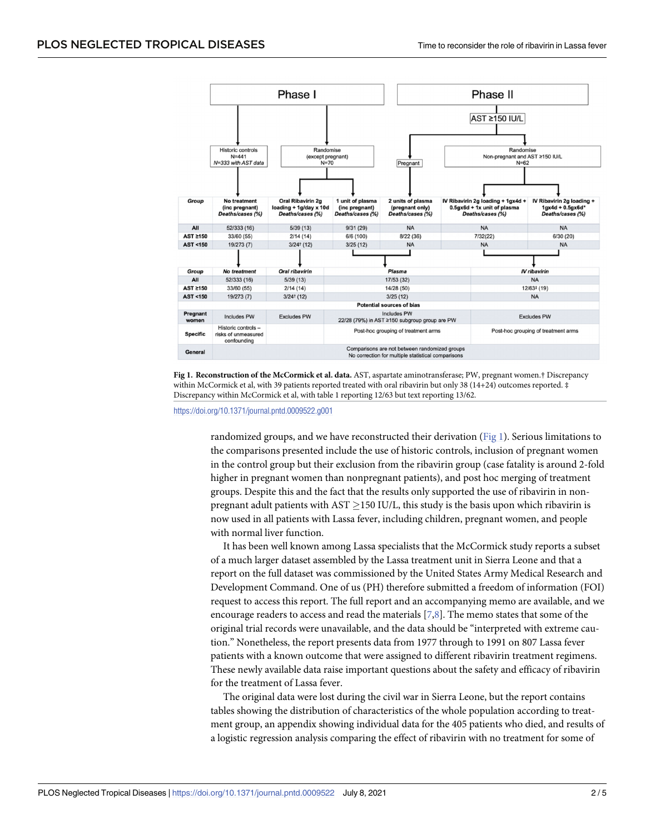<span id="page-1-0"></span>



<https://doi.org/10.1371/journal.pntd.0009522.g001>

randomized groups, and we have reconstructed their derivation (Fig 1). Serious limitations to the comparisons presented include the use of historic controls, inclusion of pregnant women in the control group but their exclusion from the ribavirin group (case fatality is around 2-fold higher in pregnant women than nonpregnant patients), and post hoc merging of treatment groups. Despite this and the fact that the results only supported the use of ribavirin in nonpregnant adult patients with  $AST > 150$  IU/L, this study is the basis upon which ribavirin is now used in all patients with Lassa fever, including children, pregnant women, and people with normal liver function.

It has been well known among Lassa specialists that the McCormick study reports a subset of a much larger dataset assembled by the Lassa treatment unit in Sierra Leone and that a report on the full dataset was commissioned by the United States Army Medical Research and Development Command. One of us (PH) therefore submitted a freedom of information (FOI) request to access this report. The full report and an accompanying memo are available, and we encourage readers to access and read the materials [\[7](#page-3-0)[,8](#page-4-0)]. The memo states that some of the original trial records were unavailable, and the data should be "interpreted with extreme caution." Nonetheless, the report presents data from 1977 through to 1991 on 807 Lassa fever patients with a known outcome that were assigned to different ribavirin treatment regimens. These newly available data raise important questions about the safety and efficacy of ribavirin for the treatment of Lassa fever.

The original data were lost during the civil war in Sierra Leone, but the report contains tables showing the distribution of characteristics of the whole population according to treatment group, an appendix showing individual data for the 405 patients who died, and results of a logistic regression analysis comparing the effect of ribavirin with no treatment for some of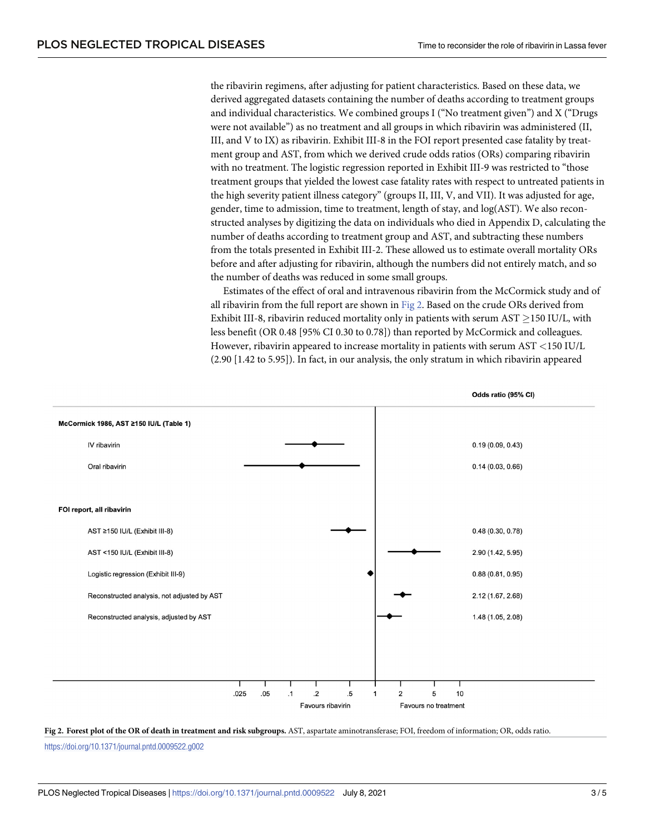the ribavirin regimens, after adjusting for patient characteristics. Based on these data, we derived aggregated datasets containing the number of deaths according to treatment groups and individual characteristics. We combined groups I ("No treatment given") and X ("Drugs were not available") as no treatment and all groups in which ribavirin was administered (II, III, and V to IX) as ribavirin. Exhibit III-8 in the FOI report presented case fatality by treatment group and AST, from which we derived crude odds ratios (ORs) comparing ribavirin with no treatment. The logistic regression reported in Exhibit III-9 was restricted to "those treatment groups that yielded the lowest case fatality rates with respect to untreated patients in the high severity patient illness category" (groups II, III, V, and VII). It was adjusted for age, gender, time to admission, time to treatment, length of stay, and log(AST). We also reconstructed analyses by digitizing the data on individuals who died in Appendix D, calculating the number of deaths according to treatment group and AST, and subtracting these numbers from the totals presented in Exhibit III-2. These allowed us to estimate overall mortality ORs before and after adjusting for ribavirin, although the numbers did not entirely match, and so the number of deaths was reduced in some small groups.

Estimates of the effect of oral and intravenous ribavirin from the McCormick study and of all ribavirin from the full report are shown in Fig 2. Based on the crude ORs derived from Exhibit III-8, ribavirin reduced mortality only in patients with serum AST  $\geq$  150 IU/L, with less benefit (OR 0.48 [95% CI 0.30 to 0.78]) than reported by McCormick and colleagues. However, ribavirin appeared to increase mortality in patients with serum AST *<*150 IU/L (2.90 [1.42 to 5.95]). In fact, in our analysis, the only stratum in which ribavirin appeared



Fig 2. Forest plot of the OR of death in treatment and risk subgroups. AST, aspartate aminotransferase; FOI, freedom of information; OR, odds ratio.

<https://doi.org/10.1371/journal.pntd.0009522.g002>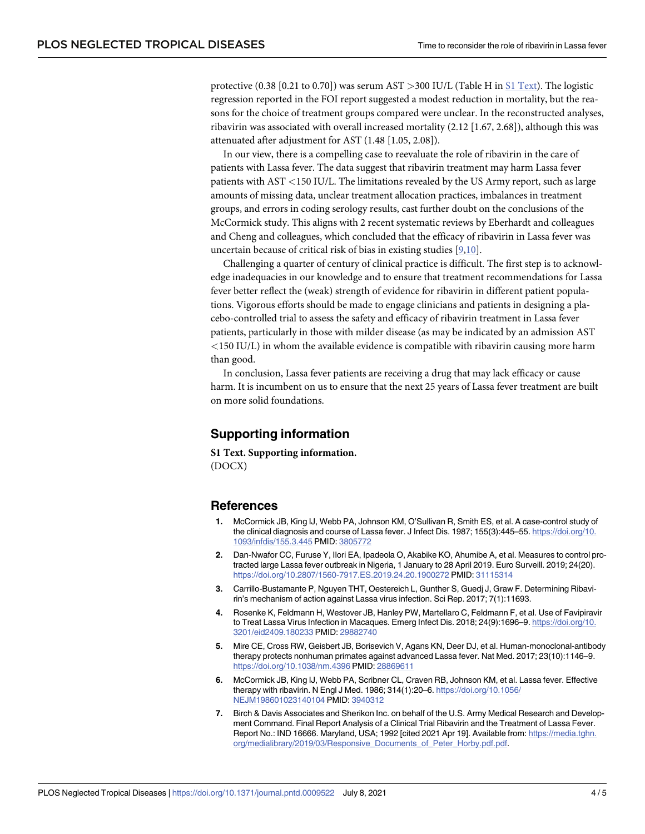<span id="page-3-0"></span>protective (0.38 [0.21 to 0.70]) was serum AST *>*300 IU/L (Table H in S1 Text). The logistic regression reported in the FOI report suggested a modest reduction in mortality, but the reasons for the choice of treatment groups compared were unclear. In the reconstructed analyses, ribavirin was associated with overall increased mortality (2.12 [1.67, 2.68]), although this was attenuated after adjustment for AST (1.48 [1.05, 2.08]).

In our view, there is a compelling case to reevaluate the role of ribavirin in the care of patients with Lassa fever. The data suggest that ribavirin treatment may harm Lassa fever patients with AST *<*150 IU/L. The limitations revealed by the US Army report, such as large amounts of missing data, unclear treatment allocation practices, imbalances in treatment groups, and errors in coding serology results, cast further doubt on the conclusions of the McCormick study. This aligns with 2 recent systematic reviews by Eberhardt and colleagues and Cheng and colleagues, which concluded that the efficacy of ribavirin in Lassa fever was uncertain because of critical risk of bias in existing studies [\[9,10\]](#page-4-0).

Challenging a quarter of century of clinical practice is difficult. The first step is to acknowledge inadequacies in our knowledge and to ensure that treatment recommendations for Lassa fever better reflect the (weak) strength of evidence for ribavirin in different patient populations. Vigorous efforts should be made to engage clinicians and patients in designing a placebo-controlled trial to assess the safety and efficacy of ribavirin treatment in Lassa fever patients, particularly in those with milder disease (as may be indicated by an admission AST *<*150 IU/L) in whom the available evidence is compatible with ribavirin causing more harm than good.

In conclusion, Lassa fever patients are receiving a drug that may lack efficacy or cause harm. It is incumbent on us to ensure that the next 25 years of Lassa fever treatment are built on more solid foundations.

### **Supporting information**

**S1** [Text](http://journals.plos.org/plosntds/article/asset?unique&id=info:doi/10.1371/journal.pntd.0009522.s001). Supporting information. (DOCX)

#### **References**

- **[1](#page-0-0).** McCormick JB, King IJ, Webb PA, Johnson KM, O'Sullivan R, Smith ES, et al. A case-control study of the clinical diagnosis and course of Lassa fever. J Infect Dis. 1987; 155(3):445–55. [https://doi.org/10.](https://doi.org/10.1093/infdis/155.3.445) [1093/infdis/155.3.445](https://doi.org/10.1093/infdis/155.3.445) PMID: [3805772](http://www.ncbi.nlm.nih.gov/pubmed/3805772)
- **[2](#page-0-0).** Dan-Nwafor CC, Furuse Y, Ilori EA, Ipadeola O, Akabike KO, Ahumibe A, et al. Measures to control protracted large Lassa fever outbreak in Nigeria, 1 January to 28 April 2019. Euro Surveill. 2019; 24(20). <https://doi.org/10.2807/1560-7917.ES.2019.24.20.1900272> PMID: [31115314](http://www.ncbi.nlm.nih.gov/pubmed/31115314)
- **[3](#page-0-0).** Carrillo-Bustamante P, Nguyen THT, Oestereich L, Gunther S, Guedj J, Graw F. Determining Ribavirin's mechanism of action against Lassa virus infection. Sci Rep. 2017; 7(1):11693.
- **[4](#page-0-0).** Rosenke K, Feldmann H, Westover JB, Hanley PW, Martellaro C, Feldmann F, et al. Use of Favipiravir to Treat Lassa Virus Infection in Macaques. Emerg Infect Dis. 2018; 24(9):1696–9. [https://doi.org/10.](https://doi.org/10.3201/eid2409.180233) [3201/eid2409.180233](https://doi.org/10.3201/eid2409.180233) PMID: [29882740](http://www.ncbi.nlm.nih.gov/pubmed/29882740)
- **[5](#page-0-0).** Mire CE, Cross RW, Geisbert JB, Borisevich V, Agans KN, Deer DJ, et al. Human-monoclonal-antibody therapy protects nonhuman primates against advanced Lassa fever. Nat Med. 2017; 23(10):1146–9. <https://doi.org/10.1038/nm.4396> PMID: [28869611](http://www.ncbi.nlm.nih.gov/pubmed/28869611)
- **[6](#page-0-0).** McCormick JB, King IJ, Webb PA, Scribner CL, Craven RB, Johnson KM, et al. Lassa fever. Effective therapy with ribavirin. N Engl J Med. 1986; 314(1):20–6. [https://doi.org/10.1056/](https://doi.org/10.1056/NEJM198601023140104) [NEJM198601023140104](https://doi.org/10.1056/NEJM198601023140104) PMID: [3940312](http://www.ncbi.nlm.nih.gov/pubmed/3940312)
- **[7](#page-1-0).** Birch & Davis Associates and Sherikon Inc. on behalf of the U.S. Army Medical Research and Development Command. Final Report Analysis of a Clinical Trial Ribavirin and the Treatment of Lassa Fever. Report No.: IND 16666. Maryland, USA; 1992 [cited 2021 Apr 19]. Available from: [https://media.tghn.](https://media.tghn.org/medialibrary/2019/03/Responsive_Documents_of_Peter_Horby.pdf.pdf) [org/medialibrary/2019/03/Responsive\\_Documents\\_of\\_Peter\\_Horby.pdf.pdf.](https://media.tghn.org/medialibrary/2019/03/Responsive_Documents_of_Peter_Horby.pdf.pdf)